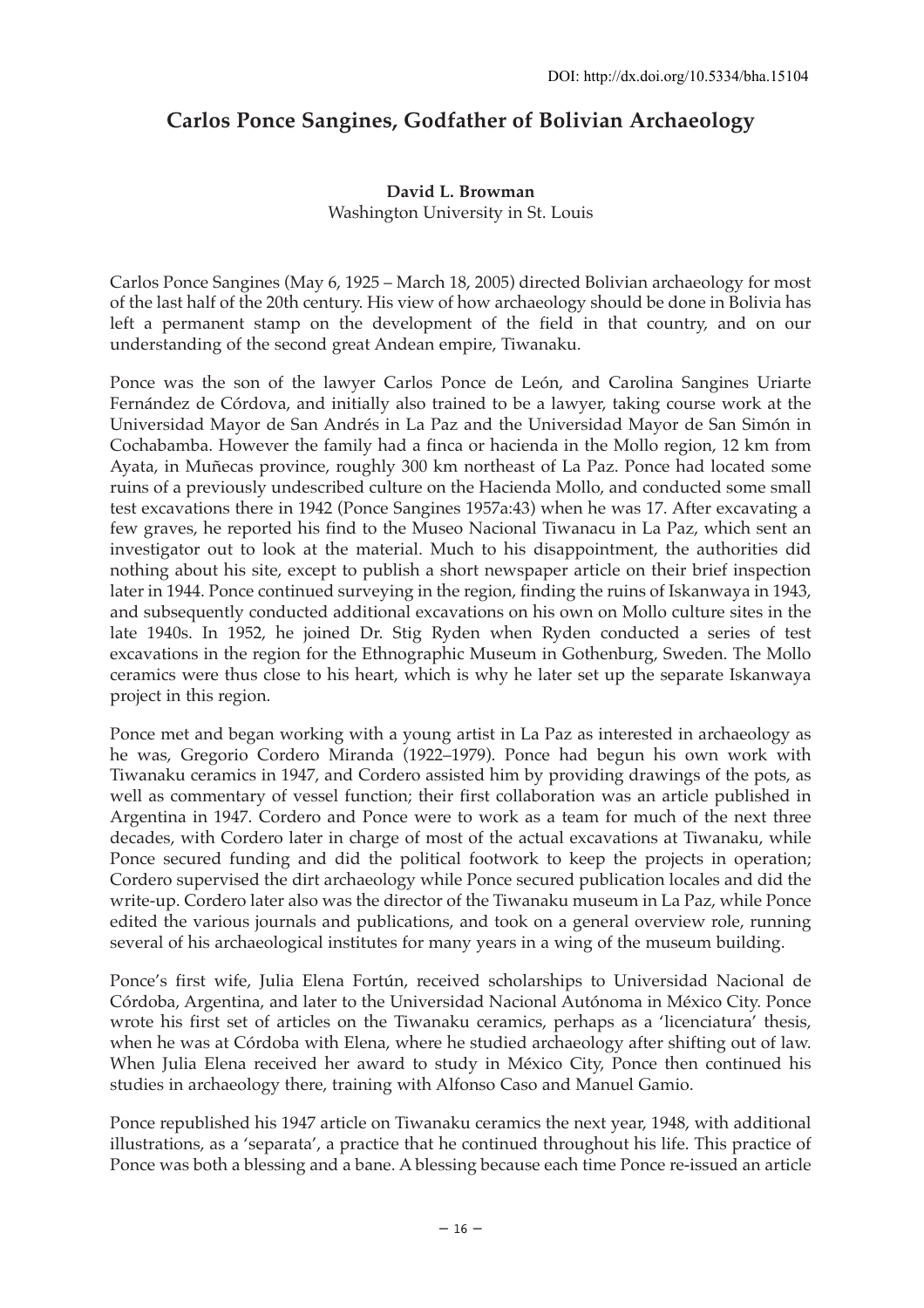# **Carlos Ponce Sangines, Godfather of Bolivian Archaeology**

#### **David L. Browman** Washington University in St. Louis

Carlos Ponce Sangines (May 6, 1925 – March 18, 2005) directed Bolivian archaeology for most of the last half of the 20th century. His view of how archaeology should be done in Bolivia has left a permanent stamp on the development of the field in that country, and on our understanding of the second great Andean empire, Tiwanaku.

Ponce was the son of the lawyer Carlos Ponce de León, and Carolina Sangines Uriarte Fernández de Córdova, and initially also trained to be a lawyer, taking course work at the Universidad Mayor de San Andrés in La Paz and the Universidad Mayor de San Simón in Cochabamba. However the family had a finca or hacienda in the Mollo region, 12 km from Ayata, in Muñecas province, roughly 300 km northeast of La Paz. Ponce had located some ruins of a previously undescribed culture on the Hacienda Mollo, and conducted some small test excavations there in 1942 (Ponce Sangines 1957a:43) when he was 17. After excavating a few graves, he reported his find to the Museo Nacional Tiwanacu in La Paz, which sent an investigator out to look at the material. Much to his disappointment, the authorities did nothing about his site, except to publish a short newspaper article on their brief inspection later in 1944. Ponce continued surveying in the region, finding the ruins of Iskanwaya in 1943, and subsequently conducted additional excavations on his own on Mollo culture sites in the late 1940s. In 1952, he joined Dr. Stig Ryden when Ryden conducted a series of test excavations in the region for the Ethnographic Museum in Gothenburg, Sweden. The Mollo ceramics were thus close to his heart, which is why he later set up the separate Iskanwaya project in this region.

Ponce met and began working with a young artist in La Paz as interested in archaeology as he was, Gregorio Cordero Miranda (1922–1979). Ponce had begun his own work with Tiwanaku ceramics in 1947, and Cordero assisted him by providing drawings of the pots, as well as commentary of vessel function; their first collaboration was an article published in Argentina in 1947. Cordero and Ponce were to work as a team for much of the next three decades, with Cordero later in charge of most of the actual excavations at Tiwanaku, while Ponce secured funding and did the political footwork to keep the projects in operation; Cordero supervised the dirt archaeology while Ponce secured publication locales and did the write-up. Cordero later also was the director of the Tiwanaku museum in La Paz, while Ponce edited the various journals and publications, and took on a general overview role, running several of his archaeological institutes for many years in a wing of the museum building.

Ponce's first wife, Julia Elena Fortún, received scholarships to Universidad Nacional de Córdoba, Argentina, and later to the Universidad Nacional Autónoma in México City. Ponce wrote his first set of articles on the Tiwanaku ceramics, perhaps as a 'licenciatura' thesis, when he was at Córdoba with Elena, where he studied archaeology after shifting out of law. When Julia Elena received her award to study in México City, Ponce then continued his studies in archaeology there, training with Alfonso Caso and Manuel Gamio.

Ponce republished his 1947 article on Tiwanaku ceramics the next year, 1948, with additional illustrations, as a 'separata', a practice that he continued throughout his life. This practice of Ponce was both a blessing and a bane. A blessing because each time Ponce re-issued an article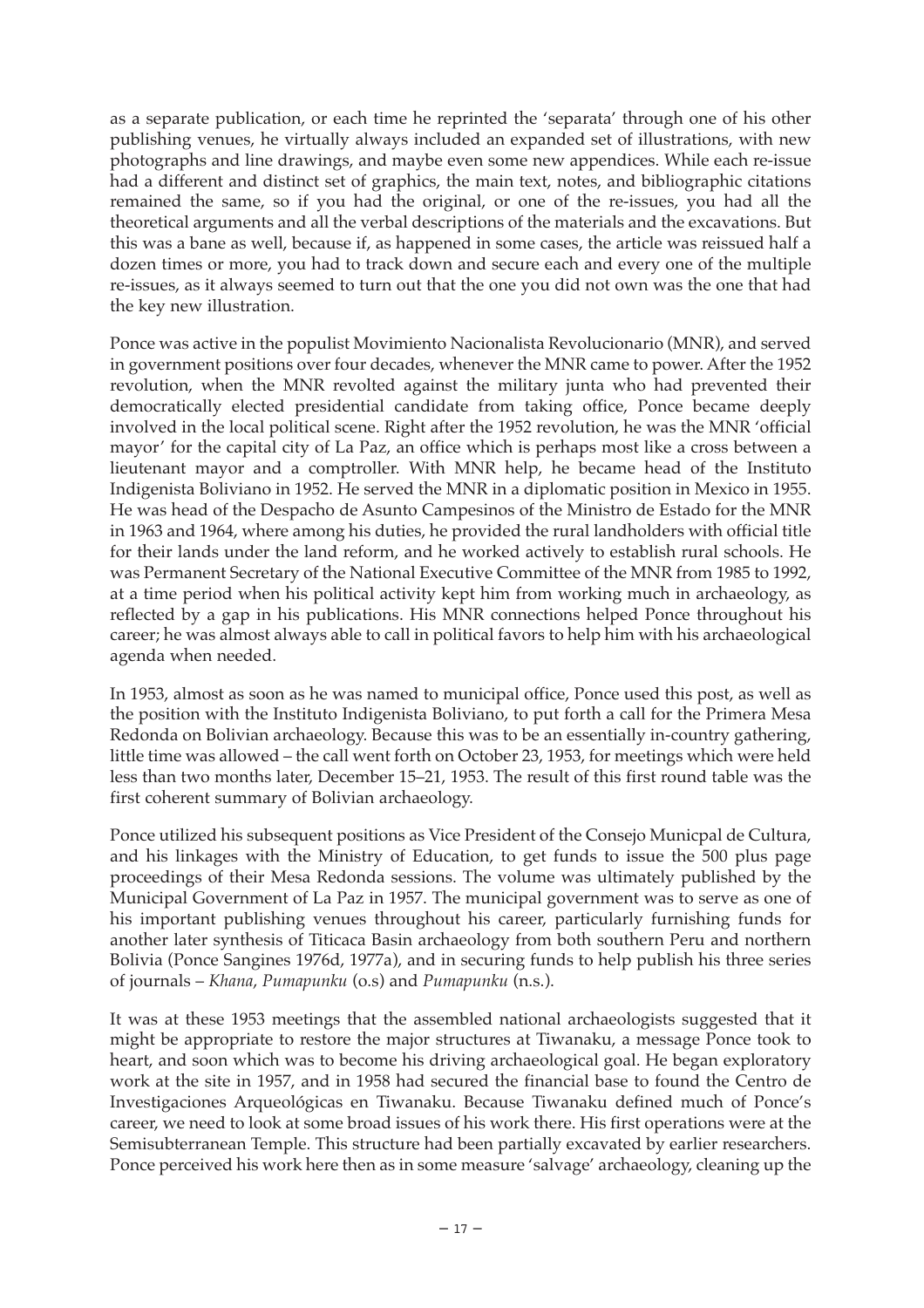as a separate publication, or each time he reprinted the 'separata' through one of his other publishing venues, he virtually always included an expanded set of illustrations, with new photographs and line drawings, and maybe even some new appendices. While each re-issue had a different and distinct set of graphics, the main text, notes, and bibliographic citations remained the same, so if you had the original, or one of the re-issues, you had all the theoretical arguments and all the verbal descriptions of the materials and the excavations. But this was a bane as well, because if, as happened in some cases, the article was reissued half a dozen times or more, you had to track down and secure each and every one of the multiple re-issues, as it always seemed to turn out that the one you did not own was the one that had the key new illustration.

Ponce was active in the populist Movimiento Nacionalista Revolucionario (MNR), and served in government positions over four decades, whenever the MNR came to power. After the 1952 revolution, when the MNR revolted against the military junta who had prevented their democratically elected presidential candidate from taking office, Ponce became deeply involved in the local political scene. Right after the 1952 revolution, he was the MNR 'official mayor' for the capital city of La Paz, an office which is perhaps most like a cross between a lieutenant mayor and a comptroller. With MNR help, he became head of the Instituto Indigenista Boliviano in 1952. He served the MNR in a diplomatic position in Mexico in 1955. He was head of the Despacho de Asunto Campesinos of the Ministro de Estado for the MNR in 1963 and 1964, where among his duties, he provided the rural landholders with official title for their lands under the land reform, and he worked actively to establish rural schools. He was Permanent Secretary of the National Executive Committee of the MNR from 1985 to 1992, at a time period when his political activity kept him from working much in archaeology, as reflected by a gap in his publications. His MNR connections helped Ponce throughout his career; he was almost always able to call in political favors to help him with his archaeological agenda when needed.

In 1953, almost as soon as he was named to municipal office, Ponce used this post, as well as the position with the Instituto Indigenista Boliviano, to put forth a call for the Primera Mesa Redonda on Bolivian archaeology. Because this was to be an essentially in-country gathering, little time was allowed – the call went forth on October 23, 1953, for meetings which were held less than two months later, December 15–21, 1953. The result of this first round table was the first coherent summary of Bolivian archaeology.

Ponce utilized his subsequent positions as Vice President of the Consejo Municpal de Cultura, and his linkages with the Ministry of Education, to get funds to issue the 500 plus page proceedings of their Mesa Redonda sessions. The volume was ultimately published by the Municipal Government of La Paz in 1957. The municipal government was to serve as one of his important publishing venues throughout his career, particularly furnishing funds for another later synthesis of Titicaca Basin archaeology from both southern Peru and northern Bolivia (Ponce Sangines 1976d, 1977a), and in securing funds to help publish his three series of journals – *Khana*, *Pumapunku* (o.s) and *Pumapunku* (n.s.).

It was at these 1953 meetings that the assembled national archaeologists suggested that it might be appropriate to restore the major structures at Tiwanaku, a message Ponce took to heart, and soon which was to become his driving archaeological goal. He began exploratory work at the site in 1957, and in 1958 had secured the financial base to found the Centro de Investigaciones Arqueológicas en Tiwanaku. Because Tiwanaku defined much of Ponce's career, we need to look at some broad issues of his work there. His first operations were at the Semisubterranean Temple. This structure had been partially excavated by earlier researchers. Ponce perceived his work here then as in some measure 'salvage' archaeology, cleaning up the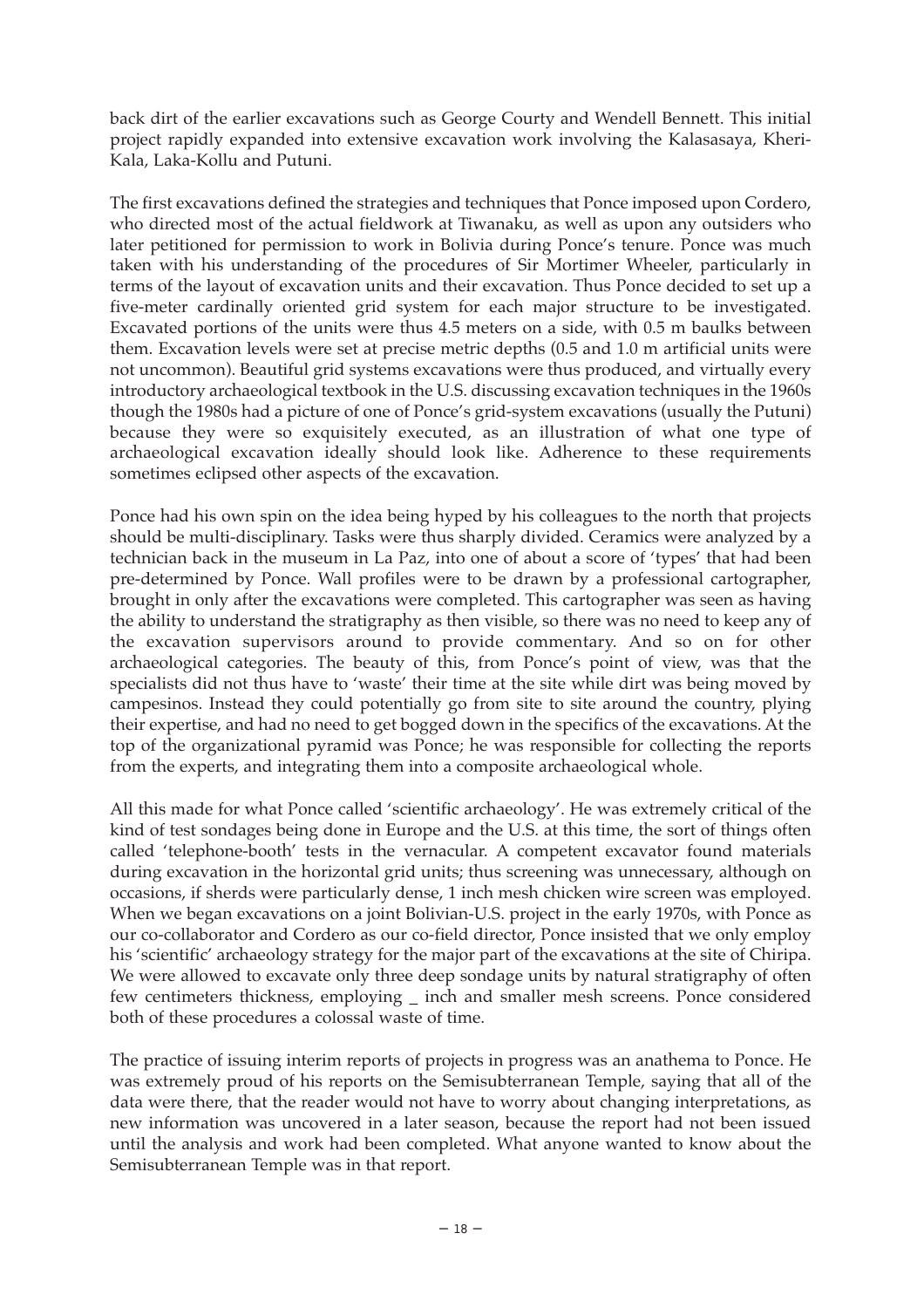back dirt of the earlier excavations such as George Courty and Wendell Bennett. This initial project rapidly expanded into extensive excavation work involving the Kalasasaya, Kheri-Kala, Laka-Kollu and Putuni.

The first excavations defined the strategies and techniques that Ponce imposed upon Cordero, who directed most of the actual fieldwork at Tiwanaku, as well as upon any outsiders who later petitioned for permission to work in Bolivia during Ponce's tenure. Ponce was much taken with his understanding of the procedures of Sir Mortimer Wheeler, particularly in terms of the layout of excavation units and their excavation. Thus Ponce decided to set up a five-meter cardinally oriented grid system for each major structure to be investigated. Excavated portions of the units were thus 4.5 meters on a side, with 0.5 m baulks between them. Excavation levels were set at precise metric depths (0.5 and 1.0 m artificial units were not uncommon). Beautiful grid systems excavations were thus produced, and virtually every introductory archaeological textbook in the U.S. discussing excavation techniques in the 1960s though the 1980s had a picture of one of Ponce's grid-system excavations (usually the Putuni) because they were so exquisitely executed, as an illustration of what one type of archaeological excavation ideally should look like. Adherence to these requirements sometimes eclipsed other aspects of the excavation.

Ponce had his own spin on the idea being hyped by his colleagues to the north that projects should be multi-disciplinary. Tasks were thus sharply divided. Ceramics were analyzed by a technician back in the museum in La Paz, into one of about a score of 'types' that had been pre-determined by Ponce. Wall profiles were to be drawn by a professional cartographer, brought in only after the excavations were completed. This cartographer was seen as having the ability to understand the stratigraphy as then visible, so there was no need to keep any of the excavation supervisors around to provide commentary. And so on for other archaeological categories. The beauty of this, from Ponce's point of view, was that the specialists did not thus have to 'waste' their time at the site while dirt was being moved by campesinos. Instead they could potentially go from site to site around the country, plying their expertise, and had no need to get bogged down in the specifics of the excavations. At the top of the organizational pyramid was Ponce; he was responsible for collecting the reports from the experts, and integrating them into a composite archaeological whole.

All this made for what Ponce called 'scientific archaeology'. He was extremely critical of the kind of test sondages being done in Europe and the U.S. at this time, the sort of things often called 'telephone-booth' tests in the vernacular. A competent excavator found materials during excavation in the horizontal grid units; thus screening was unnecessary, although on occasions, if sherds were particularly dense, 1 inch mesh chicken wire screen was employed. When we began excavations on a joint Bolivian-U.S. project in the early 1970s, with Ponce as our co-collaborator and Cordero as our co-field director, Ponce insisted that we only employ his 'scientific' archaeology strategy for the major part of the excavations at the site of Chiripa. We were allowed to excavate only three deep sondage units by natural stratigraphy of often few centimeters thickness, employing \_\_ inch and smaller mesh screens. Ponce considered both of these procedures a colossal waste of time.

The practice of issuing interim reports of projects in progress was an anathema to Ponce. He was extremely proud of his reports on the Semisubterranean Temple, saying that all of the data were there, that the reader would not have to worry about changing interpretations, as new information was uncovered in a later season, because the report had not been issued until the analysis and work had been completed. What anyone wanted to know about the Semisubterranean Temple was in that report.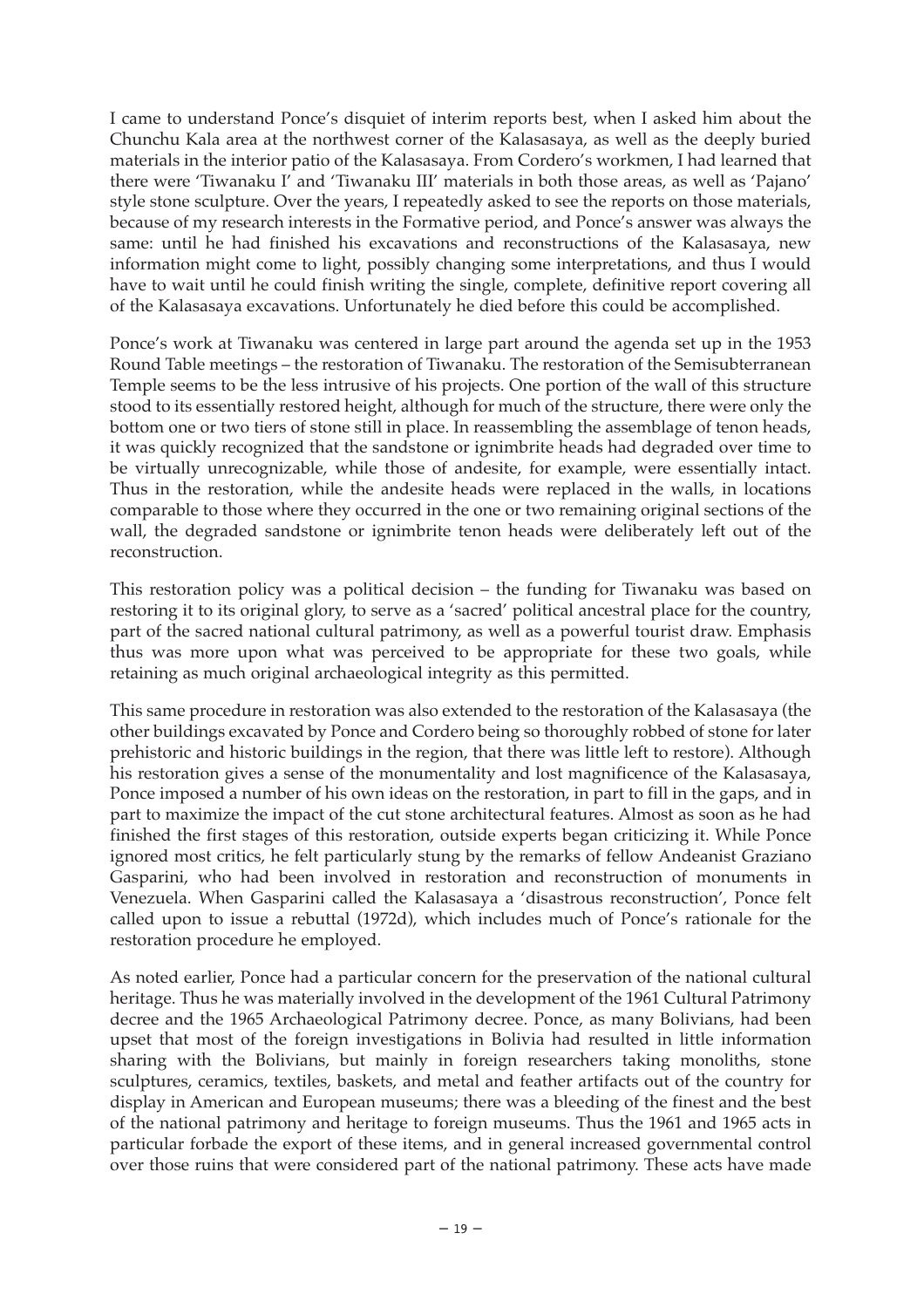I came to understand Ponce's disquiet of interim reports best, when I asked him about the Chunchu Kala area at the northwest corner of the Kalasasaya, as well as the deeply buried materials in the interior patio of the Kalasasaya. From Cordero's workmen, I had learned that there were 'Tiwanaku I' and 'Tiwanaku III' materials in both those areas, as well as 'Pajano' style stone sculpture. Over the years, I repeatedly asked to see the reports on those materials, because of my research interests in the Formative period, and Ponce's answer was always the same: until he had finished his excavations and reconstructions of the Kalasasaya, new information might come to light, possibly changing some interpretations, and thus I would have to wait until he could finish writing the single, complete, definitive report covering all of the Kalasasaya excavations. Unfortunately he died before this could be accomplished.

Ponce's work at Tiwanaku was centered in large part around the agenda set up in the 1953 Round Table meetings – the restoration of Tiwanaku. The restoration of the Semisubterranean Temple seems to be the less intrusive of his projects. One portion of the wall of this structure stood to its essentially restored height, although for much of the structure, there were only the bottom one or two tiers of stone still in place. In reassembling the assemblage of tenon heads, it was quickly recognized that the sandstone or ignimbrite heads had degraded over time to be virtually unrecognizable, while those of andesite, for example, were essentially intact. Thus in the restoration, while the andesite heads were replaced in the walls, in locations comparable to those where they occurred in the one or two remaining original sections of the wall, the degraded sandstone or ignimbrite tenon heads were deliberately left out of the reconstruction.

This restoration policy was a political decision – the funding for Tiwanaku was based on restoring it to its original glory, to serve as a 'sacred' political ancestral place for the country, part of the sacred national cultural patrimony, as well as a powerful tourist draw. Emphasis thus was more upon what was perceived to be appropriate for these two goals, while retaining as much original archaeological integrity as this permitted.

This same procedure in restoration was also extended to the restoration of the Kalasasaya (the other buildings excavated by Ponce and Cordero being so thoroughly robbed of stone for later prehistoric and historic buildings in the region, that there was little left to restore). Although his restoration gives a sense of the monumentality and lost magnificence of the Kalasasaya, Ponce imposed a number of his own ideas on the restoration, in part to fill in the gaps, and in part to maximize the impact of the cut stone architectural features. Almost as soon as he had finished the first stages of this restoration, outside experts began criticizing it. While Ponce ignored most critics, he felt particularly stung by the remarks of fellow Andeanist Graziano Gasparini, who had been involved in restoration and reconstruction of monuments in Venezuela. When Gasparini called the Kalasasaya a 'disastrous reconstruction', Ponce felt called upon to issue a rebuttal (1972d), which includes much of Ponce's rationale for the restoration procedure he employed.

As noted earlier, Ponce had a particular concern for the preservation of the national cultural heritage. Thus he was materially involved in the development of the 1961 Cultural Patrimony decree and the 1965 Archaeological Patrimony decree. Ponce, as many Bolivians, had been upset that most of the foreign investigations in Bolivia had resulted in little information sharing with the Bolivians, but mainly in foreign researchers taking monoliths, stone sculptures, ceramics, textiles, baskets, and metal and feather artifacts out of the country for display in American and European museums; there was a bleeding of the finest and the best of the national patrimony and heritage to foreign museums. Thus the 1961 and 1965 acts in particular forbade the export of these items, and in general increased governmental control over those ruins that were considered part of the national patrimony. These acts have made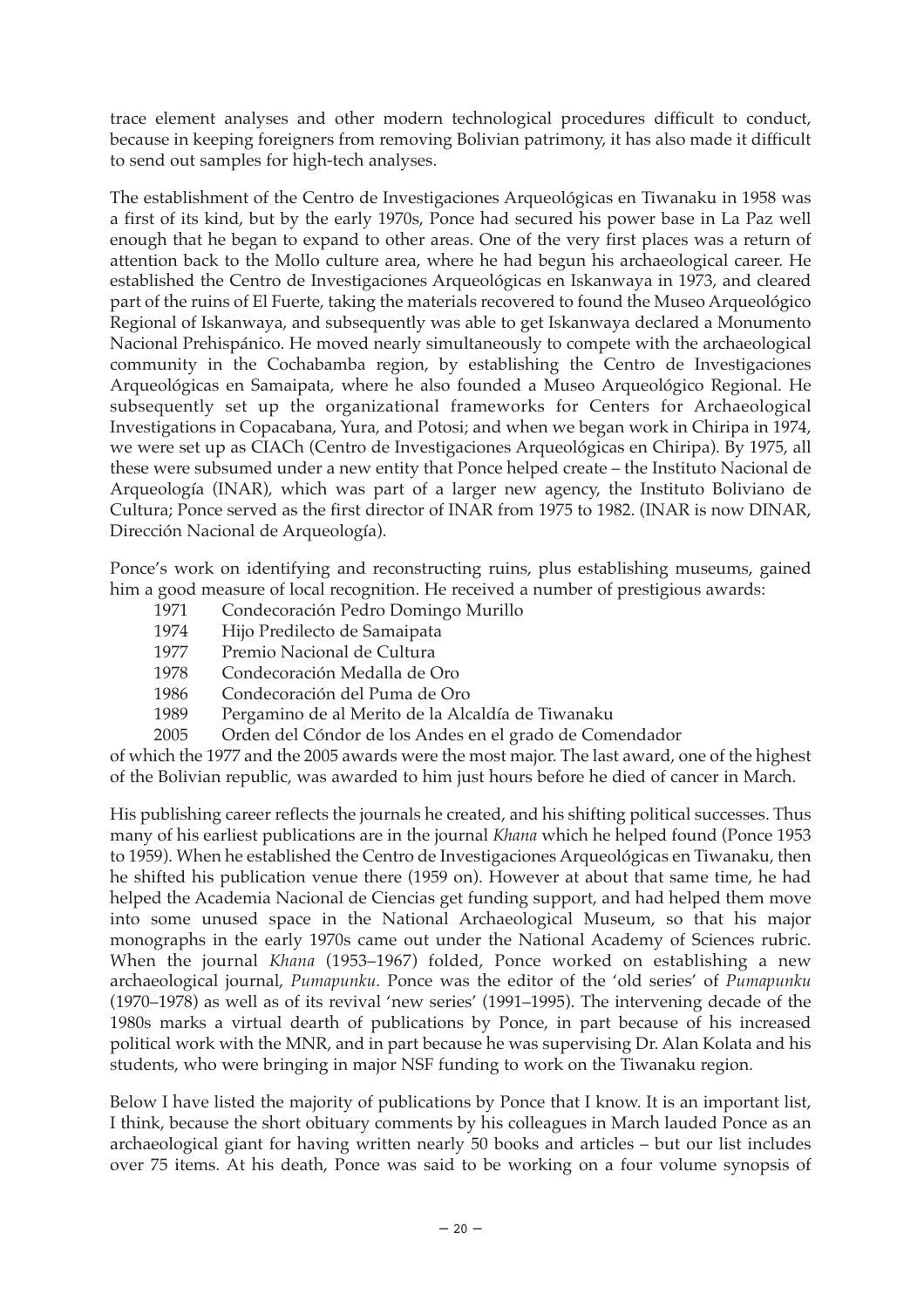trace element analyses and other modern technological procedures difficult to conduct, because in keeping foreigners from removing Bolivian patrimony, it has also made it difficult to send out samples for high-tech analyses.

The establishment of the Centro de Investigaciones Arqueológicas en Tiwanaku in 1958 was a first of its kind, but by the early 1970s, Ponce had secured his power base in La Paz well enough that he began to expand to other areas. One of the very first places was a return of attention back to the Mollo culture area, where he had begun his archaeological career. He established the Centro de Investigaciones Arqueológicas en Iskanwaya in 1973, and cleared part of the ruins of El Fuerte, taking the materials recovered to found the Museo Arqueológico Regional of Iskanwaya, and subsequently was able to get Iskanwaya declared a Monumento Nacional Prehispánico. He moved nearly simultaneously to compete with the archaeological community in the Cochabamba region, by establishing the Centro de Investigaciones Arqueológicas en Samaipata, where he also founded a Museo Arqueológico Regional. He subsequently set up the organizational frameworks for Centers for Archaeological Investigations in Copacabana, Yura, and Potosi; and when we began work in Chiripa in 1974, we were set up as CIACh (Centro de Investigaciones Arqueológicas en Chiripa). By 1975, all these were subsumed under a new entity that Ponce helped create – the Instituto Nacional de Arqueología (INAR), which was part of a larger new agency, the Instituto Boliviano de Cultura; Ponce served as the first director of INAR from 1975 to 1982. (INAR is now DINAR, Dirección Nacional de Arqueología).

Ponce's work on identifying and reconstructing ruins, plus establishing museums, gained him a good measure of local recognition. He received a number of prestigious awards:

- 1971 Condecoración Pedro Domingo Murillo
- 1974 Hijo Predilecto de Samaipata
- 1977 Premio Nacional de Cultura
- 1978 Condecoración Medalla de Oro
- 1986 Condecoración del Puma de Oro
- 1989 Pergamino de al Merito de la Alcaldía de Tiwanaku
- 2005 Orden del Cóndor de los Andes en el grado de Comendador

of which the 1977 and the 2005 awards were the most major. The last award, one of the highest of the Bolivian republic, was awarded to him just hours before he died of cancer in March.

His publishing career reflects the journals he created, and his shifting political successes. Thus many of his earliest publications are in the journal *Khana* which he helped found (Ponce 1953 to 1959). When he established the Centro de Investigaciones Arqueológicas en Tiwanaku, then he shifted his publication venue there (1959 on). However at about that same time, he had helped the Academia Nacional de Ciencias get funding support, and had helped them move into some unused space in the National Archaeological Museum, so that his major monographs in the early 1970s came out under the National Academy of Sciences rubric. When the journal *Khana* (1953–1967) folded, Ponce worked on establishing a new archaeological journal, *Pumapunku*. Ponce was the editor of the 'old series' of *Pumapunku* (1970–1978) as well as of its revival 'new series' (1991–1995). The intervening decade of the 1980s marks a virtual dearth of publications by Ponce, in part because of his increased political work with the MNR, and in part because he was supervising Dr. Alan Kolata and his students, who were bringing in major NSF funding to work on the Tiwanaku region.

Below I have listed the majority of publications by Ponce that I know. It is an important list, I think, because the short obituary comments by his colleagues in March lauded Ponce as an archaeological giant for having written nearly 50 books and articles – but our list includes over 75 items. At his death, Ponce was said to be working on a four volume synopsis of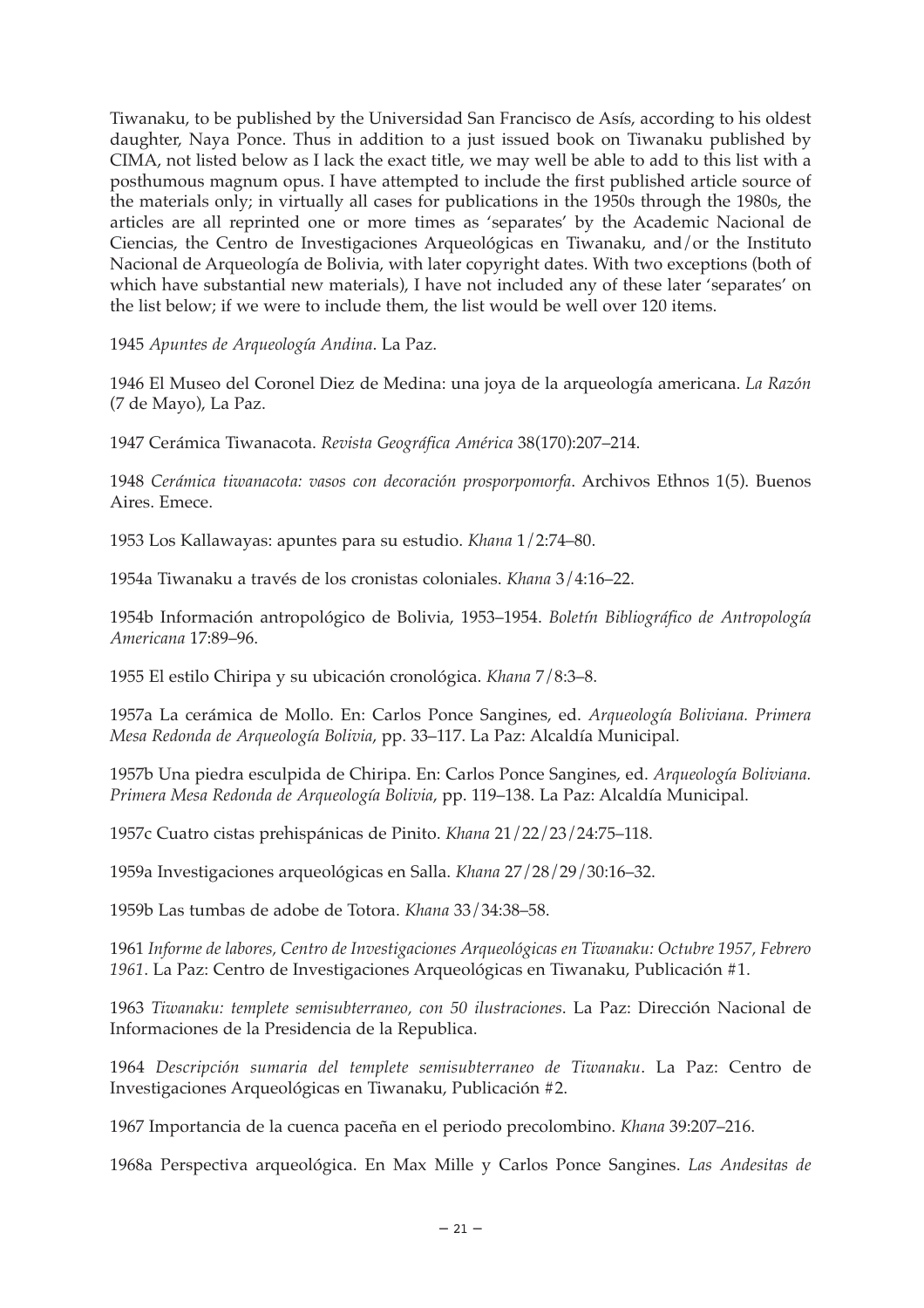Tiwanaku, to be published by the Universidad San Francisco de Asís, according to his oldest daughter, Naya Ponce. Thus in addition to a just issued book on Tiwanaku published by CIMA, not listed below as I lack the exact title, we may well be able to add to this list with a posthumous magnum opus. I have attempted to include the first published article source of the materials only; in virtually all cases for publications in the 1950s through the 1980s, the articles are all reprinted one or more times as 'separates' by the Academic Nacional de Ciencias, the Centro de Investigaciones Arqueológicas en Tiwanaku, and/or the Instituto Nacional de Arqueología de Bolivia, with later copyright dates. With two exceptions (both of which have substantial new materials), I have not included any of these later 'separates' on the list below; if we were to include them, the list would be well over 120 items.

1945 *Apuntes de Arqueología Andina*. La Paz.

1946 El Museo del Coronel Diez de Medina: una joya de la arqueología americana. *La Razón* (7 de Mayo), La Paz.

1947 Cerámica Tiwanacota. *Revista Geográfica América* 38(170):207–214.

1948 *Cerámica tiwanacota: vasos con decoración prosporpomorfa*. Archivos Ethnos 1(5). Buenos Aires. Emece.

1953 Los Kallawayas: apuntes para su estudio. *Khana* 1/2:74–80.

1954a Tiwanaku a través de los cronistas coloniales. *Khana* 3/4:16–22.

1954b Información antropológico de Bolivia, 1953–1954. *Boletín Bibliográfico de Antropología Americana* 17:89–96.

1955 El estilo Chiripa y su ubicación cronológica. *Khana* 7/8:3–8.

1957a La cerámica de Mollo. En: Carlos Ponce Sangines, ed. *Arqueología Boliviana. Primera Mesa Redonda de Arqueología Bolivia*, pp. 33–117. La Paz: Alcaldía Municipal.

1957b Una piedra esculpida de Chiripa. En: Carlos Ponce Sangines, ed. *Arqueología Boliviana. Primera Mesa Redonda de Arqueología Bolivia*, pp. 119–138. La Paz: Alcaldía Municipal.

1957c Cuatro cistas prehispánicas de Pinito. *Khana* 21/22/23/24:75–118.

1959a Investigaciones arqueológicas en Salla. *Khana* 27/28/29/30:16–32.

1959b Las tumbas de adobe de Totora. *Khana* 33/34:38–58.

1961 *Informe de labores, Centro de Investigaciones Arqueológicas en Tiwanaku: Octubre 1957, Febrero 1961*. La Paz: Centro de Investigaciones Arqueológicas en Tiwanaku, Publicación #1.

1963 *Tiwanaku: templete semisubterraneo, con 50 ilustraciones*. La Paz: Dirección Nacional de Informaciones de la Presidencia de la Republica.

1964 *Descripción sumaria del templete semisubterraneo de Tiwanaku*. La Paz: Centro de Investigaciones Arqueológicas en Tiwanaku, Publicación #2.

1967 Importancia de la cuenca paceña en el periodo precolombino. *Khana* 39:207–216.

1968a Perspectiva arqueológica. En Max Mille y Carlos Ponce Sangines. *Las Andesitas de*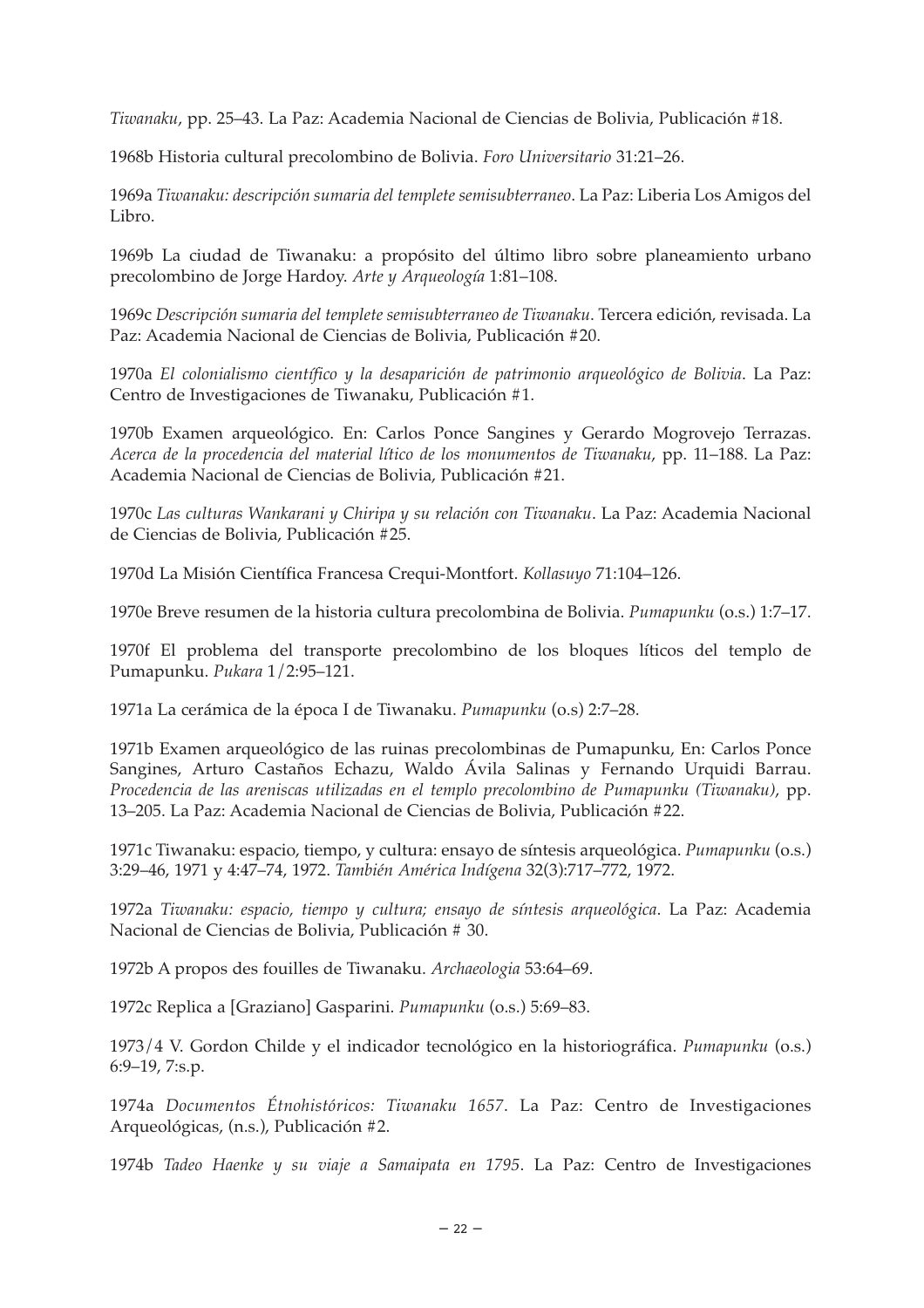*Tiwanaku*, pp. 25–43. La Paz: Academia Nacional de Ciencias de Bolivia, Publicación #18.

1968b Historia cultural precolombino de Bolivia. *Foro Universitario* 31:21–26.

1969a *Tiwanaku: descripción sumaria del templete semisubterraneo*. La Paz: Liberia Los Amigos del Libro.

1969b La ciudad de Tiwanaku: a propósito del último libro sobre planeamiento urbano precolombino de Jorge Hardoy. *Arte y Arqueología* 1:81–108.

1969c *Descripción sumaria del templete semisubterraneo de Tiwanaku*. Tercera edición, revisada. La Paz: Academia Nacional de Ciencias de Bolivia, Publicación #20.

1970a *El colonialismo científico y la desaparición de patrimonio arqueológico de Bolivia*. La Paz: Centro de Investigaciones de Tiwanaku, Publicación #1.

1970b Examen arqueológico. En: Carlos Ponce Sangines y Gerardo Mogrovejo Terrazas. *Acerca de la procedencia del material lítico de los monumentos de Tiwanaku*, pp. 11–188. La Paz: Academia Nacional de Ciencias de Bolivia, Publicación #21.

1970c *Las culturas Wankarani y Chiripa y su relación con Tiwanaku*. La Paz: Academia Nacional de Ciencias de Bolivia, Publicación #25.

1970d La Misión Científica Francesa Crequi-Montfort. *Kollasuyo* 71:104–126.

1970e Breve resumen de la historia cultura precolombina de Bolivia. *Pumapunku* (o.s.) 1:7–17.

1970f El problema del transporte precolombino de los bloques líticos del templo de Pumapunku. *Pukara* 1/2:95–121.

1971a La cerámica de la época I de Tiwanaku. *Pumapunku* (o.s) 2:7–28.

1971b Examen arqueológico de las ruinas precolombinas de Pumapunku, En: Carlos Ponce Sangines, Arturo Castaños Echazu, Waldo Ávila Salinas y Fernando Urquidi Barrau. *Procedencia de las areniscas utilizadas en el templo precolombino de Pumapunku (Tiwanaku)*, pp. 13–205. La Paz: Academia Nacional de Ciencias de Bolivia, Publicación #22.

1971c Tiwanaku: espacio, tiempo, y cultura: ensayo de síntesis arqueológica. *Pumapunku* (o.s.) 3:29–46, 1971 y 4:47–74, 1972. *También América Indígena* 32(3):717–772, 1972.

1972a *Tiwanaku: espacio, tiempo y cultura; ensayo de síntesis arqueológica*. La Paz: Academia Nacional de Ciencias de Bolivia, Publicación # 30.

1972b A propos des fouilles de Tiwanaku. *Archaeologia* 53:64–69.

1972c Replica a [Graziano] Gasparini. *Pumapunku* (o.s.) 5:69–83.

1973/4 V. Gordon Childe y el indicador tecnológico en la historiográfica. *Pumapunku* (o.s.) 6:9–19, 7:s.p.

1974a *Documentos Étnohistóricos: Tiwanaku 1657*. La Paz: Centro de Investigaciones Arqueológicas, (n.s.), Publicación #2.

1974b *Tadeo Haenke y su viaje a Samaipata en 1795*. La Paz: Centro de Investigaciones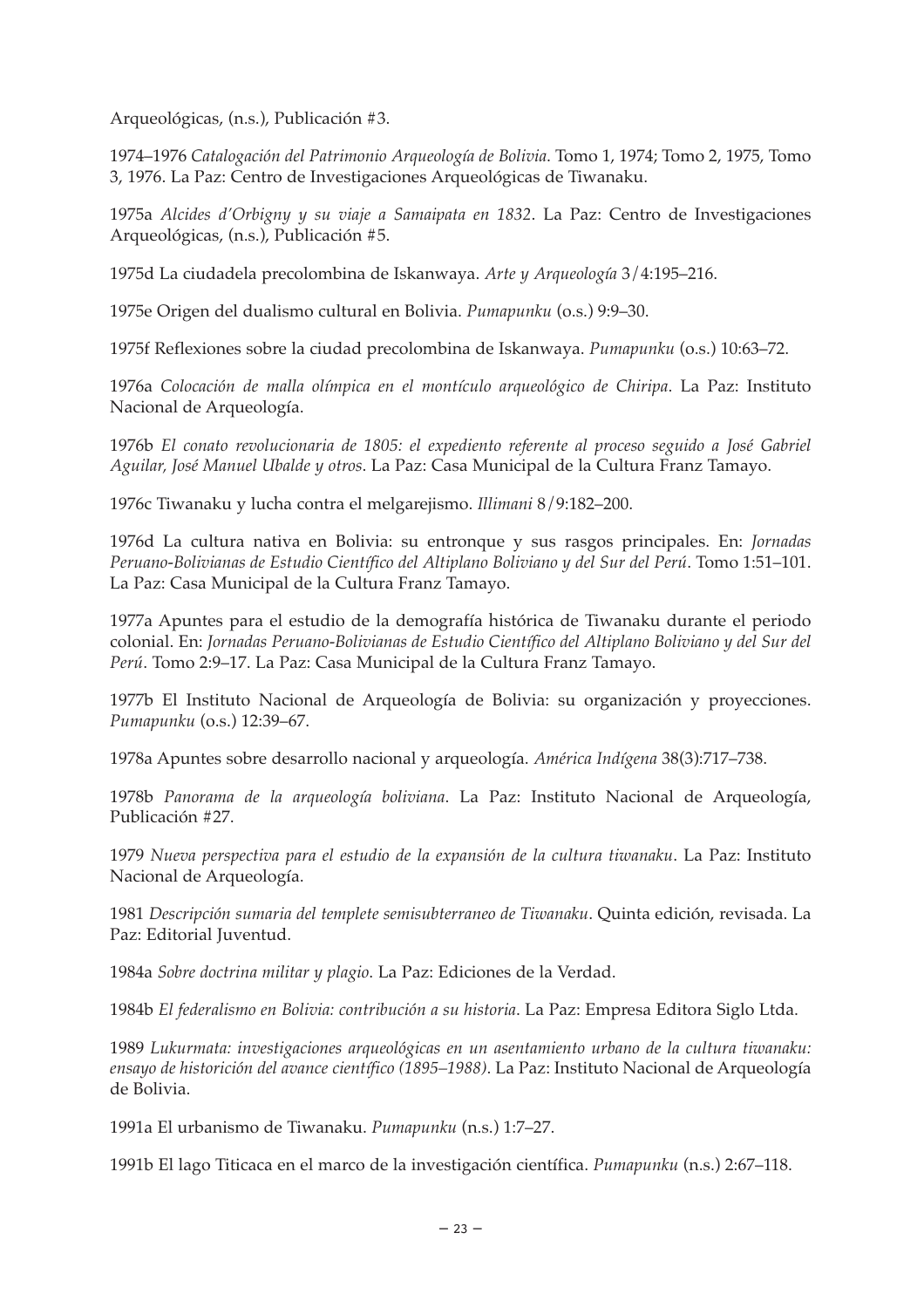Arqueológicas, (n.s.), Publicación #3.

1974–1976 *Catalogación del Patrimonio Arqueología de Bolivia*. Tomo 1, 1974; Tomo 2, 1975, Tomo 3, 1976. La Paz: Centro de Investigaciones Arqueológicas de Tiwanaku.

1975a *Alcides d'Orbigny y su viaje a Samaipata en 1832*. La Paz: Centro de Investigaciones Arqueológicas, (n.s.), Publicación #5.

1975d La ciudadela precolombina de Iskanwaya. *Arte y Arqueología* 3/4:195–216.

1975e Origen del dualismo cultural en Bolivia. *Pumapunku* (o.s.) 9:9–30.

1975f Reflexiones sobre la ciudad precolombina de Iskanwaya. *Pumapunku* (o.s.) 10:63–72.

1976a *Colocación de malla olímpica en el montículo arqueológico de Chiripa*. La Paz: Instituto Nacional de Arqueología.

1976b *El conato revolucionaria de 1805: el expediento referente al proceso seguido a José Gabriel Aguilar, José Manuel Ubalde y otros*. La Paz: Casa Municipal de la Cultura Franz Tamayo.

1976c Tiwanaku y lucha contra el melgarejismo. *Illimani* 8/9:182–200.

1976d La cultura nativa en Bolivia: su entronque y sus rasgos principales. En: *Jornadas Peruano-Bolivianas de Estudio Científico del Altiplano Boliviano y del Sur del Perú*. Tomo 1:51–101. La Paz: Casa Municipal de la Cultura Franz Tamayo.

1977a Apuntes para el estudio de la demografía histórica de Tiwanaku durante el periodo colonial. En: *Jornadas Peruano-Bolivianas de Estudio Científico del Altiplano Boliviano y del Sur del Perú*. Tomo 2:9–17. La Paz: Casa Municipal de la Cultura Franz Tamayo.

1977b El Instituto Nacional de Arqueología de Bolivia: su organización y proyecciones. *Pumapunku* (o.s.) 12:39–67.

1978a Apuntes sobre desarrollo nacional y arqueología. *América Indígena* 38(3):717–738.

1978b *Panorama de la arqueología boliviana*. La Paz: Instituto Nacional de Arqueología, Publicación #27.

1979 *Nueva perspectiva para el estudio de la expansión de la cultura tiwanaku*. La Paz: Instituto Nacional de Arqueología.

1981 *Descripción sumaria del templete semisubterraneo de Tiwanaku*. Quinta edición, revisada. La Paz: Editorial Juventud.

1984a *Sobre doctrina militar y plagio*. La Paz: Ediciones de la Verdad.

1984b *El federalismo en Bolivia: contribución a su historia*. La Paz: Empresa Editora Siglo Ltda.

1989 *Lukurmata: investigaciones arqueológicas en un asentamiento urbano de la cultura tiwanaku: ensayo de historición del avance científico (1895–1988)*. La Paz: Instituto Nacional de Arqueología de Bolivia.

1991a El urbanismo de Tiwanaku. *Pumapunku* (n.s.) 1:7–27.

1991b El lago Titicaca en el marco de la investigación científica. *Pumapunku* (n.s.) 2:67–118.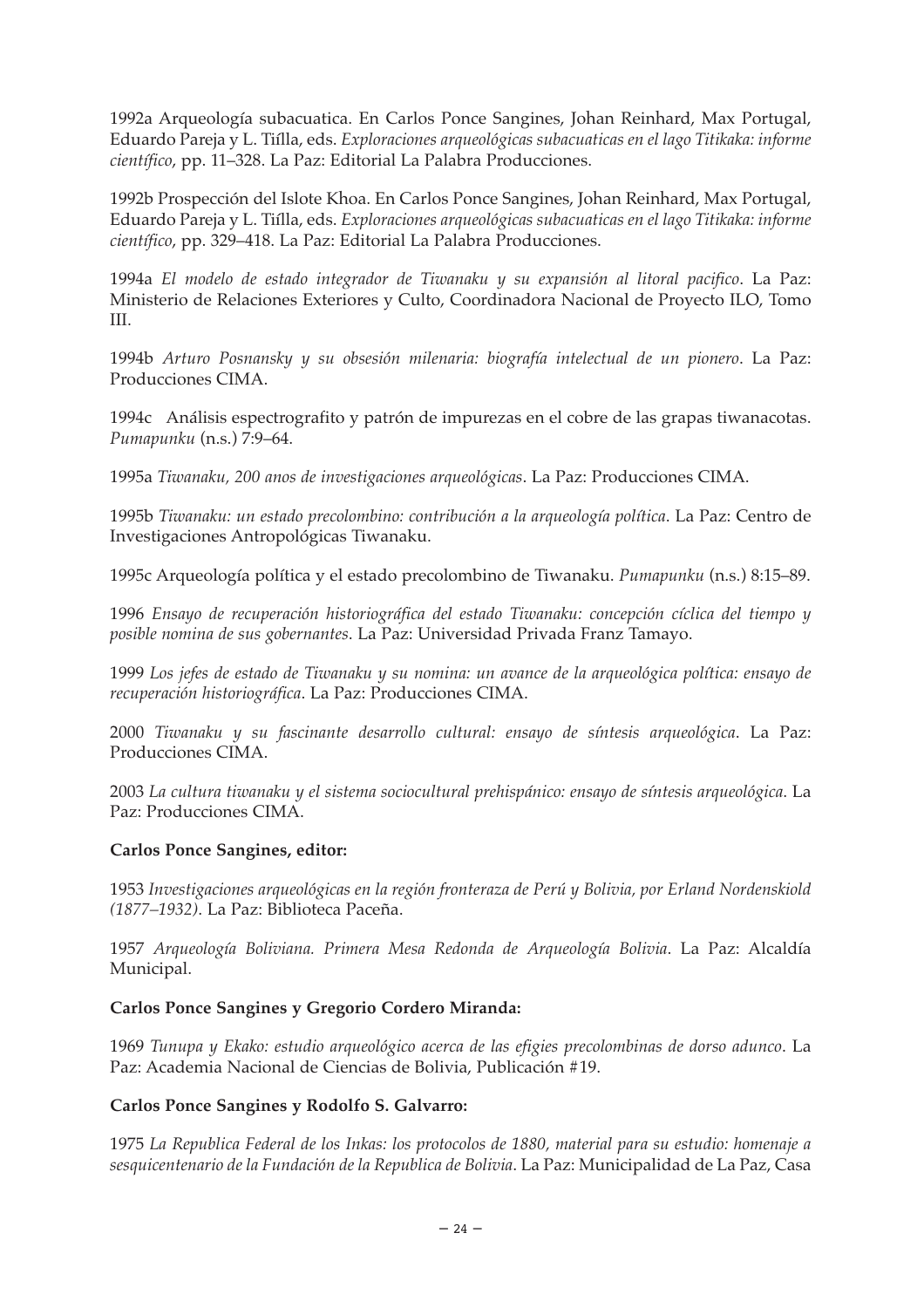1992a Arqueología subacuatica. En Carlos Ponce Sangines, Johan Reinhard, Max Portugal, Eduardo Pareja y L. Tiílla, eds. *Exploraciones arqueológicas subacuaticas en el lago Titikaka: informe científico*, pp. 11–328. La Paz: Editorial La Palabra Producciones.

1992b Prospección del Islote Khoa. En Carlos Ponce Sangines, Johan Reinhard, Max Portugal, Eduardo Pareja y L. Tiílla, eds. *Exploraciones arqueológicas subacuaticas en el lago Titikaka: informe científico*, pp. 329–418. La Paz: Editorial La Palabra Producciones.

1994a *El modelo de estado integrador de Tiwanaku y su expansión al litoral pacifico*. La Paz: Ministerio de Relaciones Exteriores y Culto, Coordinadora Nacional de Proyecto ILO, Tomo III.

1994b *Arturo Posnansky y su obsesión milenaria: biografía intelectual de un pionero*. La Paz: Producciones CIMA.

1994c Análisis espectrografito y patrón de impurezas en el cobre de las grapas tiwanacotas. *Pumapunku* (n.s.) 7:9–64.

1995a *Tiwanaku, 200 anos de investigaciones arqueológicas*. La Paz: Producciones CIMA.

1995b *Tiwanaku: un estado precolombino: contribución a la arqueología política*. La Paz: Centro de Investigaciones Antropológicas Tiwanaku.

1995c Arqueología política y el estado precolombino de Tiwanaku. *Pumapunku* (n.s.) 8:15–89.

1996 *Ensayo de recuperación historiográfica del estado Tiwanaku: concepción cíclica del tiempo y posible nomina de sus gobernantes*. La Paz: Universidad Privada Franz Tamayo.

1999 *Los jefes de estado de Tiwanaku y su nomina: un avance de la arqueológica política: ensayo de recuperación historiográfica*. La Paz: Producciones CIMA.

2000 *Tiwanaku y su fascinante desarrollo cultural: ensayo de síntesis arqueológica*. La Paz: Producciones CIMA.

2003 *La cultura tiwanaku y el sistema sociocultural prehispánico: ensayo de síntesis arqueológica*. La Paz: Producciones CIMA.

#### **Carlos Ponce Sangines, editor:**

1953 *Investigaciones arqueológicas en la región fronteraza de Perú y Bolivia, por Erland Nordenskiold (1877–1932)*. La Paz: Biblioteca Paceña.

1957 *Arqueología Boliviana. Primera Mesa Redonda de Arqueología Bolivia*. La Paz: Alcaldía Municipal.

#### **Carlos Ponce Sangines y Gregorio Cordero Miranda:**

1969 *Tunupa y Ekako: estudio arqueológico acerca de las efigies precolombinas de dorso adunco*. La Paz: Academia Nacional de Ciencias de Bolivia, Publicación #19.

#### **Carlos Ponce Sangines y Rodolfo S. Galvarro:**

1975 *La Republica Federal de los Inkas: los protocolos de 1880, material para su estudio: homenaje a sesquicentenario de la Fundación de la Republica de Bolivia*. La Paz: Municipalidad de La Paz, Casa